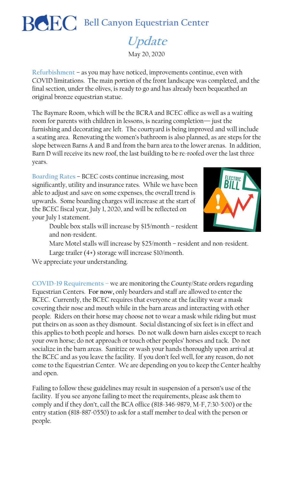**Bell Canyon Equestrian Center**

## **Update**

May 20, 2020

**Refurbishment** – as you may have noticed, improvements continue, even with COVID limitations. The main portion of the front landscape was completed, and the final section, under the olives, is ready to go and has already been bequeathed an original bronze equestrian statue.

The Baymare Room, which will be the BCRA and BCEC office as well as a waiting room for parents with children in lessons, is nearing completion— just the furnishing and decorating are left. The courtyard is being improved and will include a seating area. Renovating the women's bathroom is also planned, as are steps for the slope between Barns A and B and from the barn area to the lower arenas. In addition, Barn D will receive its new roof, the last building to be re-roofed over the last three years.

**Boarding Rates** – BCEC costs continue increasing, most significantly, utility and insurance rates. While we have been able to adjust and save on some expenses, the overall trend is upwards. Some boarding charges will increase at the start of the BCEC fiscal year, July 1, 2020, and will be reflected on your July 1 statement.



Double box stalls will increase by \$15/month – resident and non-resident.

Mare Motel stalls will increase by \$25/month – resident and non-resident.

Large trailer (4+) storage will increase \$10/month.

We appreciate your understanding.

**COVID-19 Requirements –** we are monitoring the County/State orders regarding Equestrian Centers. **For now,** only boarders and staff are allowed to enter the BCEC. Currently, the BCEC requires that everyone at the facility wear a mask covering their nose and mouth while in the barn areas and interacting with other people. Riders on their horse may choose not to wear a mask while riding but must put theirs on as soon as they dismount. Social distancing of six feet is in effect and this applies to both people and horses. Do not walk down barn aisles except to reach your own horse; do not approach or touch other peoples' horses and tack. Do not socialize in the barn areas. Sanitize or wash your hands thoroughly upon arrival at the BCEC and as you leave the facility. If you don't feel well, for any reason, do not come to the Equestrian Center. We are depending on you to keep the Center healthy and open.

Failing to follow these guidelines may result in suspension of a person's use of the facility. If you see anyone failing to meet the requirements, please ask them to comply and if they don't, call the BCA office (818-346-9879, M-F, 7:30-5:00) or the entry station (818-887-0550) to ask for a staff member to deal with the person or people.